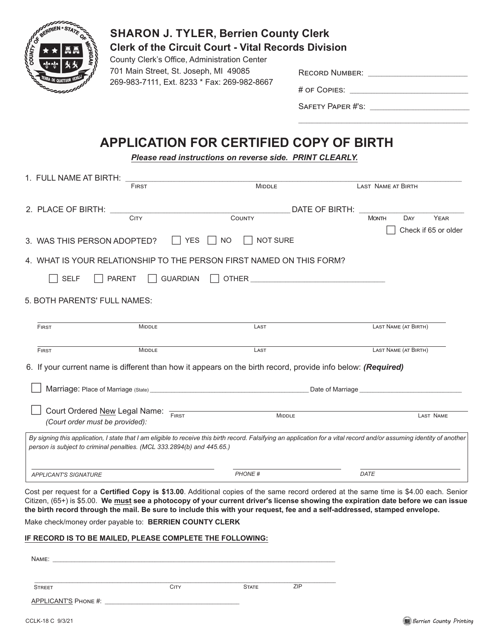

## **SHARON J. TYLER, Berrien County Clerk Clerk of the Circuit Court - Vital Records Division**

County Clerk's Office, Administration Center 701 Main Street, St. Joseph, MI 49085 269-983-7111, Ext. 8233 \* Fax: 269-982-8667

| <b>RECORD NUMBER:</b> |  |  |  |
|-----------------------|--|--|--|
|                       |  |  |  |

# of Copies: \_\_\_\_\_\_\_\_\_\_\_\_\_\_\_\_\_\_\_\_\_\_\_\_\_\_\_\_\_\_\_\_\_\_\_\_\_\_\_\_\_\_\_\_

SAFETY PAPER #'S:

## **APPLICATION FOR CERTIFIED COPY OF BIRTH**

*Please read instructions on reverse side. PRINT CLEARLY.*

| 1. FULL NAME AT BIRTH:                                                                            |                                                                        |                                                                                                                                                                        |                                                  |  |  |  |  |  |
|---------------------------------------------------------------------------------------------------|------------------------------------------------------------------------|------------------------------------------------------------------------------------------------------------------------------------------------------------------------|--------------------------------------------------|--|--|--|--|--|
|                                                                                                   | FIRST                                                                  | <b>MIDDLE</b>                                                                                                                                                          | LAST NAME AT BIRTH                               |  |  |  |  |  |
| 2. PLACE OF BIRTH:                                                                                | <b>CITY</b>                                                            | DATE OF BIRTH:<br>COUNTY                                                                                                                                               | <b>YEAR</b><br><b>MONTH</b><br>DAY               |  |  |  |  |  |
|                                                                                                   |                                                                        |                                                                                                                                                                        |                                                  |  |  |  |  |  |
| Check if 65 or older<br><b>NOT SURE</b><br><b>YES</b><br><b>NO</b><br>3. WAS THIS PERSON ADOPTED? |                                                                        |                                                                                                                                                                        |                                                  |  |  |  |  |  |
|                                                                                                   |                                                                        | 4. WHAT IS YOUR RELATIONSHIP TO THE PERSON FIRST NAMED ON THIS FORM?                                                                                                   |                                                  |  |  |  |  |  |
| <b>SELF</b>                                                                                       | <b>GUARDIAN</b><br><b>PARENT</b>                                       | OTHER <b>CONTRACTES</b>                                                                                                                                                |                                                  |  |  |  |  |  |
| 5. BOTH PARENTS' FULL NAMES:                                                                      |                                                                        |                                                                                                                                                                        |                                                  |  |  |  |  |  |
| <b>FIRST</b>                                                                                      | <b>MIDDLE</b>                                                          | LAST                                                                                                                                                                   | LAST NAME (AT BIRTH)                             |  |  |  |  |  |
| <b>FIRST</b>                                                                                      | <b>MIDDLE</b>                                                          | LAST                                                                                                                                                                   | LAST NAME (AT BIRTH)                             |  |  |  |  |  |
|                                                                                                   |                                                                        | 6. If your current name is different than how it appears on the birth record, provide info below: (Required)                                                           |                                                  |  |  |  |  |  |
|                                                                                                   |                                                                        |                                                                                                                                                                        | Date of Marriage <b>Data Communist Communist</b> |  |  |  |  |  |
|                                                                                                   | Court Ordered New Legal Name: FIRST                                    | <b>MIDDLE</b>                                                                                                                                                          |                                                  |  |  |  |  |  |
|                                                                                                   | (Court order must be provided):                                        |                                                                                                                                                                        | <b>LAST NAME</b>                                 |  |  |  |  |  |
|                                                                                                   | person is subject to criminal penalties. (MCL 333.2894(b) and 445.65.) | By signing this application, I state that I am eligible to receive this birth record. Falsifying an application for a vital record and/or assuming identity of another |                                                  |  |  |  |  |  |
| <b>APPLICANT'S SIGNATURE</b>                                                                      |                                                                        | <b>PHONE#</b>                                                                                                                                                          | DATE                                             |  |  |  |  |  |
|                                                                                                   |                                                                        |                                                                                                                                                                        |                                                  |  |  |  |  |  |

Cost per request for a **Certified Copy is \$13.00**. Additional copies of the same record ordered at the same time is \$4.00 each. Senior Citizen, (65+) is \$5.00. **We must see a photocopy of your current driver's license showing the expiration date before we can issue the birth record through the mail. Be sure to include this with your request, fee and a self-addressed, stamped envelope.**

Make check/money order payable to: **BERRIEN COUNTY CLERK**

## **IF RECORD IS TO BE MAILED, PLEASE COMPLETE THE FOLLOWING:**

Name: \_\_\_\_\_\_\_\_\_\_\_\_\_\_\_\_\_\_\_\_\_\_\_\_\_\_\_\_\_\_\_\_\_\_\_\_\_\_\_\_\_\_\_\_\_\_\_\_\_\_\_\_\_\_\_\_\_\_\_\_\_\_\_\_\_\_\_\_\_\_\_\_\_\_\_\_\_\_\_\_\_\_\_\_\_\_\_\_\_\_\_\_\_\_\_\_\_\_\_\_\_\_\_\_\_ \_\_\_\_\_\_\_\_\_\_\_\_\_\_\_\_\_\_\_\_\_\_\_\_\_\_\_\_\_\_\_\_\_\_\_\_\_\_\_\_\_\_\_\_\_\_\_\_\_\_\_\_\_\_\_\_\_\_\_\_\_\_\_\_\_\_\_\_\_\_\_\_\_\_\_\_\_\_\_\_\_\_\_\_\_\_\_\_\_\_\_\_\_\_\_\_\_\_\_\_\_\_\_\_\_\_\_\_\_\_\_\_ APPLICANT'S Phone #: \_\_\_\_\_\_\_\_\_\_\_\_\_\_\_\_\_\_\_\_\_\_\_\_\_\_\_\_\_\_\_\_\_\_\_\_\_\_\_\_\_\_\_\_\_\_\_\_\_\_ Street City City State ZIP